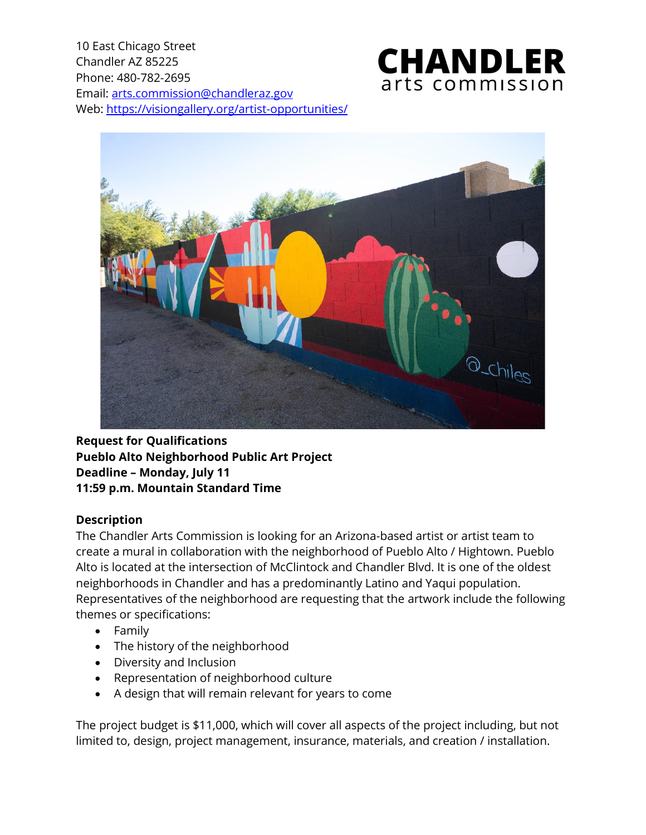10 East Chicago Street Chandler AZ 85225 Phone: 480-782-2695 Email: [arts.commission@chandleraz.gov](mailto:arts.commission@chandleraz.gov) Web:<https://visiongallery.org/artist-opportunities/>





**Request for Qualifications Pueblo Alto Neighborhood Public Art Project Deadline – Monday, July 11 11:59 p.m. Mountain Standard Time**

## **Description**

The Chandler Arts Commission is looking for an Arizona-based artist or artist team to create a mural in collaboration with the neighborhood of Pueblo Alto / Hightown. Pueblo Alto is located at the intersection of McClintock and Chandler Blvd. It is one of the oldest neighborhoods in Chandler and has a predominantly Latino and Yaqui population. Representatives of the neighborhood are requesting that the artwork include the following themes or specifications:

- Family
- The history of the neighborhood
- Diversity and Inclusion
- Representation of neighborhood culture
- A design that will remain relevant for years to come

The project budget is \$11,000, which will cover all aspects of the project including, but not limited to, design, project management, insurance, materials, and creation / installation.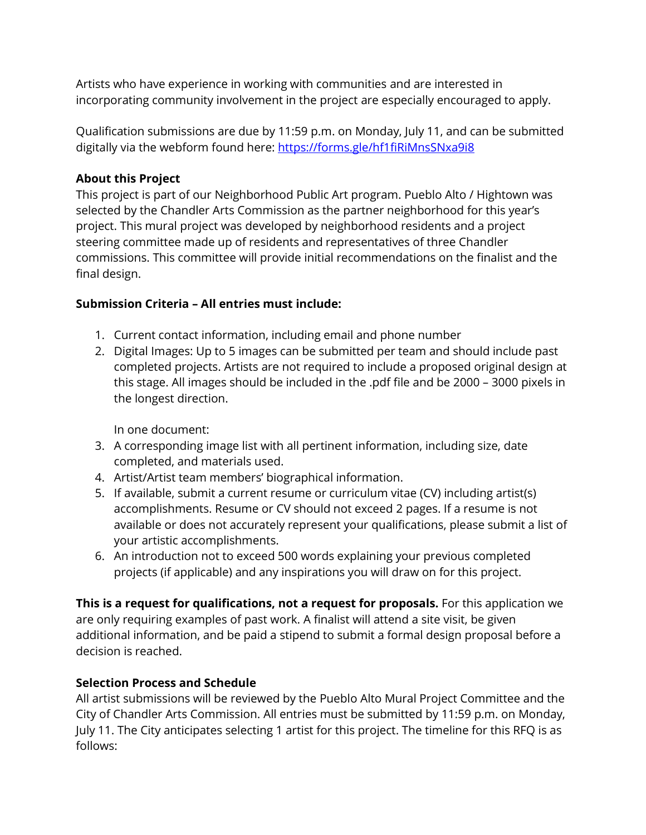Artists who have experience in working with communities and are interested in incorporating community involvement in the project are especially encouraged to apply.

Qualification submissions are due by 11:59 p.m. on Monday, July 11, and can be submitted digitally via the webform found here:<https://forms.gle/hf1fiRiMnsSNxa9i8>

## **About this Project**

This project is part of our Neighborhood Public Art program. Pueblo Alto / Hightown was selected by the Chandler Arts Commission as the partner neighborhood for this year's project. This mural project was developed by neighborhood residents and a project steering committee made up of residents and representatives of three Chandler commissions. This committee will provide initial recommendations on the finalist and the final design.

## **Submission Criteria – All entries must include:**

- 1. Current contact information, including email and phone number
- 2. Digital Images: Up to 5 images can be submitted per team and should include past completed projects. Artists are not required to include a proposed original design at this stage. All images should be included in the .pdf file and be 2000 – 3000 pixels in the longest direction.

In one document:

- 3. A corresponding image list with all pertinent information, including size, date completed, and materials used.
- 4. Artist/Artist team members' biographical information.
- 5. If available, submit a current resume or curriculum vitae (CV) including artist(s) accomplishments. Resume or CV should not exceed 2 pages. If a resume is not available or does not accurately represent your qualifications, please submit a list of your artistic accomplishments.
- 6. An introduction not to exceed 500 words explaining your previous completed projects (if applicable) and any inspirations you will draw on for this project.

**This is a request for qualifications, not a request for proposals.** For this application we are only requiring examples of past work. A finalist will attend a site visit, be given additional information, and be paid a stipend to submit a formal design proposal before a decision is reached.

# **Selection Process and Schedule**

All artist submissions will be reviewed by the Pueblo Alto Mural Project Committee and the City of Chandler Arts Commission. All entries must be submitted by 11:59 p.m. on Monday, July 11. The City anticipates selecting 1 artist for this project. The timeline for this RFQ is as follows: